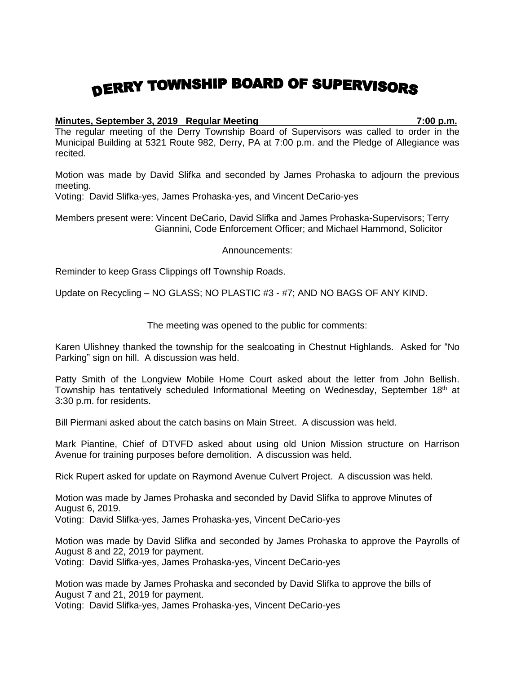## DERRY TOWNSHIP BOARD OF SUPERVISORS

## **Minutes, September 3, 2019 Regular Meeting 7:00 p.m.**

The regular meeting of the Derry Township Board of Supervisors was called to order in the Municipal Building at 5321 Route 982, Derry, PA at 7:00 p.m. and the Pledge of Allegiance was recited.

Motion was made by David Slifka and seconded by James Prohaska to adjourn the previous meeting.

Voting: David Slifka-yes, James Prohaska-yes, and Vincent DeCario-yes

Members present were: Vincent DeCario, David Slifka and James Prohaska-Supervisors; Terry Giannini, Code Enforcement Officer; and Michael Hammond, Solicitor

Announcements:

Reminder to keep Grass Clippings off Township Roads.

Update on Recycling – NO GLASS; NO PLASTIC #3 - #7; AND NO BAGS OF ANY KIND.

The meeting was opened to the public for comments:

Karen Ulishney thanked the township for the sealcoating in Chestnut Highlands. Asked for "No Parking" sign on hill. A discussion was held.

Patty Smith of the Longview Mobile Home Court asked about the letter from John Bellish. Township has tentatively scheduled Informational Meeting on Wednesday, September 18<sup>th</sup> at 3:30 p.m. for residents.

Bill Piermani asked about the catch basins on Main Street. A discussion was held.

Mark Piantine, Chief of DTVFD asked about using old Union Mission structure on Harrison Avenue for training purposes before demolition. A discussion was held.

Rick Rupert asked for update on Raymond Avenue Culvert Project. A discussion was held.

Motion was made by James Prohaska and seconded by David Slifka to approve Minutes of August 6, 2019. Voting: David Slifka-yes, James Prohaska-yes, Vincent DeCario-yes

Motion was made by David Slifka and seconded by James Prohaska to approve the Payrolls of August 8 and 22, 2019 for payment.

Voting: David Slifka-yes, James Prohaska-yes, Vincent DeCario-yes

Motion was made by James Prohaska and seconded by David Slifka to approve the bills of August 7 and 21, 2019 for payment.

Voting: David Slifka-yes, James Prohaska-yes, Vincent DeCario-yes